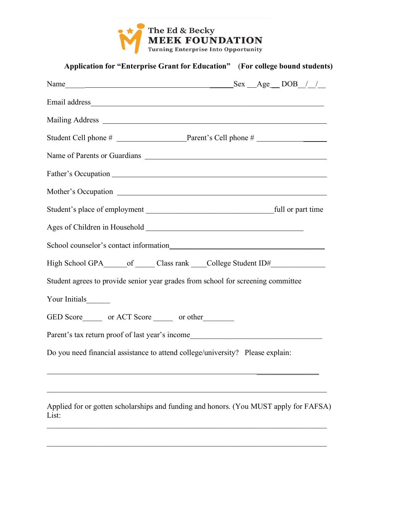

| Application for "Enterprise Grant for Education" (For college bound students)     |
|-----------------------------------------------------------------------------------|
| Name $\_\_\_\_\_\_\_\_\_\$ Name $\_\_\_\_\_\_\_\_\_\_\_\_$                        |
|                                                                                   |
|                                                                                   |
|                                                                                   |
| Name of Parents or Guardians                                                      |
|                                                                                   |
|                                                                                   |
|                                                                                   |
|                                                                                   |
|                                                                                   |
| High School GPA______ of ______ Class rank _____ College Student ID#_____________ |
| Student agrees to provide senior year grades from school for screening committee  |
| Your Initials_______                                                              |
| GED Score _______ or ACT Score _______ or other                                   |
| Parent's tax return proof of last year's income                                   |
| Do you need financial assistance to attend college/university? Please explain:    |
|                                                                                   |
|                                                                                   |

Applied for or gotten scholarships and funding and honors. (You MUST apply for FAFSA) List:

 $\mathcal{L}_\mathcal{L} = \{ \mathcal{L}_\mathcal{L} = \{ \mathcal{L}_\mathcal{L} = \{ \mathcal{L}_\mathcal{L} = \{ \mathcal{L}_\mathcal{L} = \{ \mathcal{L}_\mathcal{L} = \{ \mathcal{L}_\mathcal{L} = \{ \mathcal{L}_\mathcal{L} = \{ \mathcal{L}_\mathcal{L} = \{ \mathcal{L}_\mathcal{L} = \{ \mathcal{L}_\mathcal{L} = \{ \mathcal{L}_\mathcal{L} = \{ \mathcal{L}_\mathcal{L} = \{ \mathcal{L}_\mathcal{L} = \{ \mathcal{L}_\mathcal{$ 

 $\mathcal{L}_\mathcal{L} = \{ \mathcal{L}_\mathcal{L} = \{ \mathcal{L}_\mathcal{L} = \{ \mathcal{L}_\mathcal{L} = \{ \mathcal{L}_\mathcal{L} = \{ \mathcal{L}_\mathcal{L} = \{ \mathcal{L}_\mathcal{L} = \{ \mathcal{L}_\mathcal{L} = \{ \mathcal{L}_\mathcal{L} = \{ \mathcal{L}_\mathcal{L} = \{ \mathcal{L}_\mathcal{L} = \{ \mathcal{L}_\mathcal{L} = \{ \mathcal{L}_\mathcal{L} = \{ \mathcal{L}_\mathcal{L} = \{ \mathcal{L}_\mathcal{$